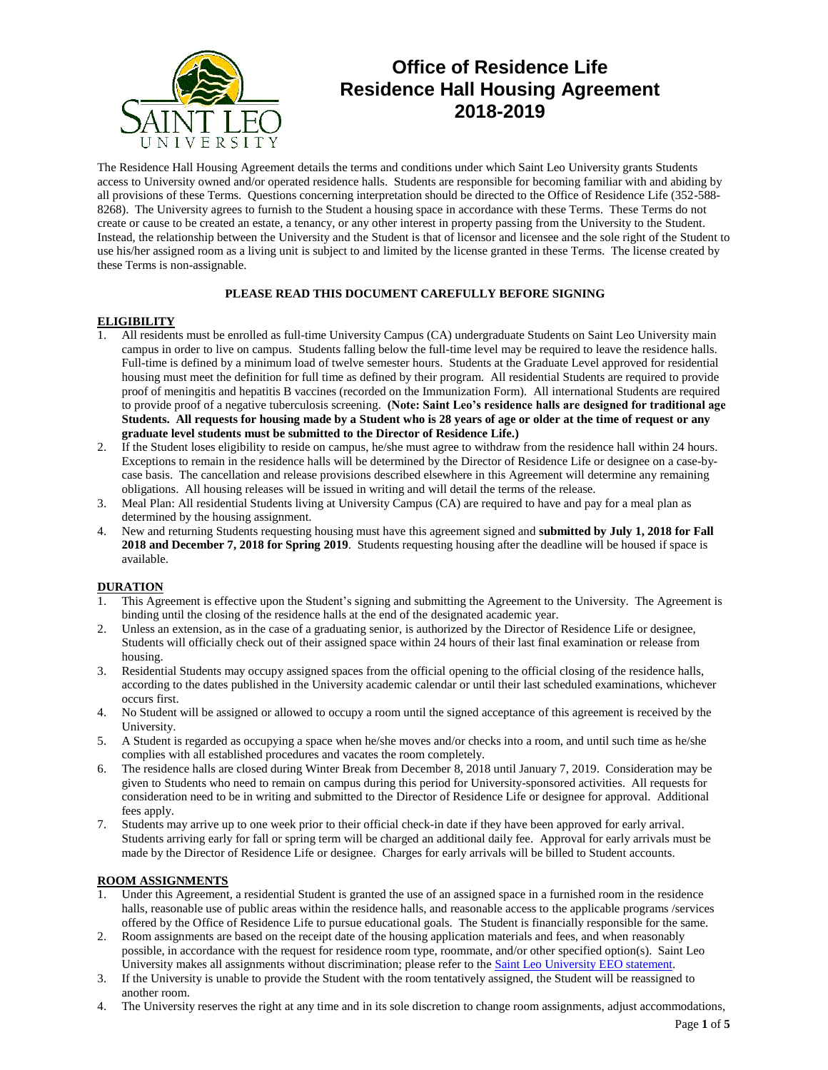

# **Office of Residence Life Residence Hall Housing Agreement 2018-2019**

The Residence Hall Housing Agreement details the terms and conditions under which Saint Leo University grants Students access to University owned and/or operated residence halls. Students are responsible for becoming familiar with and abiding by all provisions of these Terms. Questions concerning interpretation should be directed to the Office of Residence Life (352-588- 8268). The University agrees to furnish to the Student a housing space in accordance with these Terms. These Terms do not create or cause to be created an estate, a tenancy, or any other interest in property passing from the University to the Student. Instead, the relationship between the University and the Student is that of licensor and licensee and the sole right of the Student to use his/her assigned room as a living unit is subject to and limited by the license granted in these Terms. The license created by these Terms is non-assignable.

# **PLEASE READ THIS DOCUMENT CAREFULLY BEFORE SIGNING**

### **ELIGIBILITY**

- 1. All residents must be enrolled as full-time University Campus (CA) undergraduate Students on Saint Leo University main campus in order to live on campus. Students falling below the full-time level may be required to leave the residence halls. Full-time is defined by a minimum load of twelve semester hours. Students at the Graduate Level approved for residential housing must meet the definition for full time as defined by their program. All residential Students are required to provide proof of meningitis and hepatitis B vaccines (recorded on the Immunization Form). All international Students are required to provide proof of a negative tuberculosis screening. **(Note: Saint Leo's residence halls are designed for traditional age Students. All requests for housing made by a Student who is 28 years of age or older at the time of request or any graduate level students must be submitted to the Director of Residence Life.)**
- 2. If the Student loses eligibility to reside on campus, he/she must agree to withdraw from the residence hall within 24 hours. Exceptions to remain in the residence halls will be determined by the Director of Residence Life or designee on a case-bycase basis. The cancellation and release provisions described elsewhere in this Agreement will determine any remaining obligations. All housing releases will be issued in writing and will detail the terms of the release.
- 3. Meal Plan: All residential Students living at University Campus (CA) are required to have and pay for a meal plan as determined by the housing assignment.
- 4. New and returning Students requesting housing must have this agreement signed and **submitted by July 1, 2018 for Fall 2018 and December 7, 2018 for Spring 2019**. Students requesting housing after the deadline will be housed if space is available.

### **DURATION**

- 1. This Agreement is effective upon the Student's signing and submitting the Agreement to the University. The Agreement is binding until the closing of the residence halls at the end of the designated academic year.
- 2. Unless an extension, as in the case of a graduating senior, is authorized by the Director of Residence Life or designee, Students will officially check out of their assigned space within 24 hours of their last final examination or release from housing.
- 3. Residential Students may occupy assigned spaces from the official opening to the official closing of the residence halls, according to the dates published in the University academic calendar or until their last scheduled examinations, whichever occurs first.
- 4. No Student will be assigned or allowed to occupy a room until the signed acceptance of this agreement is received by the University.
- 5. A Student is regarded as occupying a space when he/she moves and/or checks into a room, and until such time as he/she complies with all established procedures and vacates the room completely.
- 6. The residence halls are closed during Winter Break from December 8, 2018 until January 7, 2019. Consideration may be given to Students who need to remain on campus during this period for University-sponsored activities. All requests for consideration need to be in writing and submitted to the Director of Residence Life or designee for approval. Additional fees apply.
- 7. Students may arrive up to one week prior to their official check-in date if they have been approved for early arrival. Students arriving early for fall or spring term will be charged an additional daily fee. Approval for early arrivals must be made by the Director of Residence Life or designee. Charges for early arrivals will be billed to Student accounts.

### **ROOM ASSIGNMENTS**

- Under this Agreement, a residential Student is granted the use of an assigned space in a furnished room in the residence halls, reasonable use of public areas within the residence halls, and reasonable access to the applicable programs /services offered by the Office of Residence Life to pursue educational goals. The Student is financially responsible for the same.
- 2. Room assignments are based on the receipt date of the housing application materials and fees, and when reasonably possible, in accordance with the request for residence room type, roommate, and/or other specified option(s). Saint Leo University makes all assignments without discrimination; please refer to the **Saint Leo University EEO** statement.
- 3. If the University is unable to provide the Student with the room tentatively assigned, the Student will be reassigned to another room.
- 4. The University reserves the right at any time and in its sole discretion to change room assignments, adjust accommodations,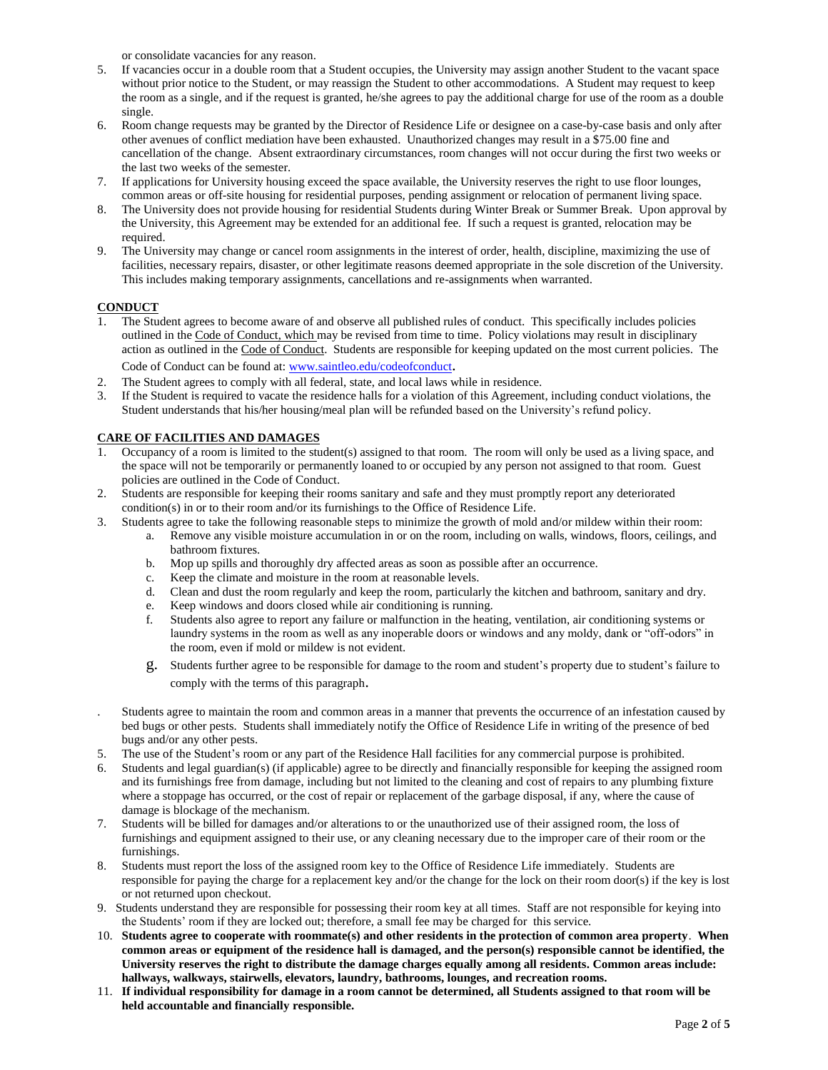or consolidate vacancies for any reason.

- 5. If vacancies occur in a double room that a Student occupies, the University may assign another Student to the vacant space without prior notice to the Student, or may reassign the Student to other accommodations. A Student may request to keep the room as a single, and if the request is granted, he/she agrees to pay the additional charge for use of the room as a double single.
- 6. Room change requests may be granted by the Director of Residence Life or designee on a case-by-case basis and only after other avenues of conflict mediation have been exhausted. Unauthorized changes may result in a \$75.00 fine and cancellation of the change. Absent extraordinary circumstances, room changes will not occur during the first two weeks or the last two weeks of the semester.
- 7. If applications for University housing exceed the space available, the University reserves the right to use floor lounges, common areas or off-site housing for residential purposes, pending assignment or relocation of permanent living space.
- 8. The University does not provide housing for residential Students during Winter Break or Summer Break. Upon approval by the University, this Agreement may be extended for an additional fee. If such a request is granted, relocation may be required.
- 9. The University may change or cancel room assignments in the interest of order, health, discipline, maximizing the use of facilities, necessary repairs, disaster, or other legitimate reasons deemed appropriate in the sole discretion of the University. This includes making temporary assignments, cancellations and re-assignments when warranted.

# **CONDUCT**

- 1. The Student agrees to become aware of and observe all published rules of conduct. This specifically includes policies outlined in the Code of Conduct, which may be revised from time to time. Policy violations may result in disciplinary action as outlined in the Code of Conduct. Students are responsible for keeping updated on the most current policies. The Code of Conduct can be found at: [www.saintleo.edu/codeofconduct](http://www.saintleo.edu/codeofconduct).
- 2. The Student agrees to comply with all federal, state, and local laws while in residence.
- 3. If the Student is required to vacate the residence halls for a violation of this Agreement, including conduct violations, the Student understands that his/her housing/meal plan will be refunded based on the University's refund policy.

# **CARE OF FACILITIES AND DAMAGES**

- 1. Occupancy of a room is limited to the student(s) assigned to that room. The room will only be used as a living space, and the space will not be temporarily or permanently loaned to or occupied by any person not assigned to that room. Guest policies are outlined in the Code of Conduct.
- 2. Students are responsible for keeping their rooms sanitary and safe and they must promptly report any deteriorated condition(s) in or to their room and/or its furnishings to the Office of Residence Life.
- 3. Students agree to take the following reasonable steps to minimize the growth of mold and/or mildew within their room:
	- a. Remove any visible moisture accumulation in or on the room, including on walls, windows, floors, ceilings, and bathroom fixtures.
	- b. Mop up spills and thoroughly dry affected areas as soon as possible after an occurrence.
	- c. Keep the climate and moisture in the room at reasonable levels.
	- d. Clean and dust the room regularly and keep the room, particularly the kitchen and bathroom, sanitary and dry.
	- e. Keep windows and doors closed while air conditioning is running.<br>f. Students also agree to report any failure or malfunction in the basti
	- f. Students also agree to report any failure or malfunction in the heating, ventilation, air conditioning systems or laundry systems in the room as well as any inoperable doors or windows and any moldy, dank or "off-odors" in the room, even if mold or mildew is not evident.
	- g. Students further agree to be responsible for damage to the room and student's property due to student's failure to comply with the terms of this paragraph.
- . Students agree to maintain the room and common areas in a manner that prevents the occurrence of an infestation caused by bed bugs or other pests. Students shall immediately notify the Office of Residence Life in writing of the presence of bed bugs and/or any other pests.
- 5. The use of the Student's room or any part of the Residence Hall facilities for any commercial purpose is prohibited.
- 6. Students and legal guardian(s) (if applicable) agree to be directly and financially responsible for keeping the assigned room and its furnishings free from damage, including but not limited to the cleaning and cost of repairs to any plumbing fixture where a stoppage has occurred, or the cost of repair or replacement of the garbage disposal, if any, where the cause of damage is blockage of the mechanism.
- 7. Students will be billed for damages and/or alterations to or the unauthorized use of their assigned room, the loss of furnishings and equipment assigned to their use, or any cleaning necessary due to the improper care of their room or the furnishings.
- 8. Students must report the loss of the assigned room key to the Office of Residence Life immediately. Students are responsible for paying the charge for a replacement key and/or the change for the lock on their room door(s) if the key is lost or not returned upon checkout.
- 9. Students understand they are responsible for possessing their room key at all times. Staff are not responsible for keying into the Students' room if they are locked out; therefore, a small fee may be charged for this service.
- 10. **Students agree to cooperate with roommate(s) and other residents in the protection of common area property**. **When common areas or equipment of the residence hall is damaged, and the person(s) responsible cannot be identified, the University reserves the right to distribute the damage charges equally among all residents. Common areas include: hallways, walkways, stairwells, elevators, laundry, bathrooms, lounges, and recreation rooms.**
- 11. **If individual responsibility for damage in a room cannot be determined, all Students assigned to that room will be held accountable and financially responsible.**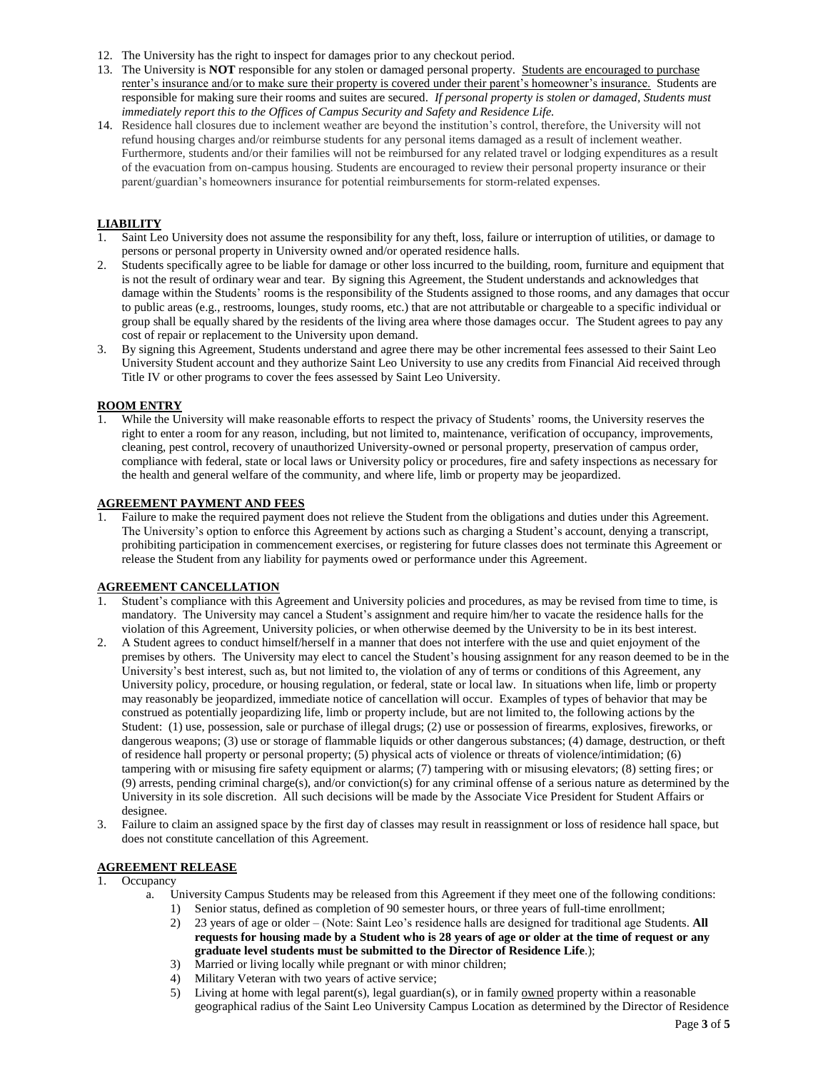- 12. The University has the right to inspect for damages prior to any checkout period.
- 13. The University is **NOT** responsible for any stolen or damaged personal property. Students are encouraged to purchase renter's insurance and/or to make sure their property is covered under their parent's homeowner's insurance. Students are responsible for making sure their rooms and suites are secured. *If personal property is stolen or damaged, Students must immediately report this to the Offices of Campus Security and Safety and Residence Life.*
- 14. Residence hall closures due to inclement weather are beyond the institution's control, therefore, the University will not refund housing charges and/or reimburse students for any personal items damaged as a result of inclement weather. Furthermore, students and/or their families will not be reimbursed for any related travel or lodging expenditures as a result of the evacuation from on-campus housing. Students are encouraged to review their personal property insurance or their parent/guardian's homeowners insurance for potential reimbursements for storm-related expenses.

# **LIABILITY**

- 1. Saint Leo University does not assume the responsibility for any theft, loss, failure or interruption of utilities, or damage to persons or personal property in University owned and/or operated residence halls.
- 2. Students specifically agree to be liable for damage or other loss incurred to the building, room, furniture and equipment that is not the result of ordinary wear and tear. By signing this Agreement, the Student understands and acknowledges that damage within the Students' rooms is the responsibility of the Students assigned to those rooms, and any damages that occur to public areas (e.g., restrooms, lounges, study rooms, etc.) that are not attributable or chargeable to a specific individual or group shall be equally shared by the residents of the living area where those damages occur. The Student agrees to pay any cost of repair or replacement to the University upon demand.
- 3. By signing this Agreement, Students understand and agree there may be other incremental fees assessed to their Saint Leo University Student account and they authorize Saint Leo University to use any credits from Financial Aid received through Title IV or other programs to cover the fees assessed by Saint Leo University.

### **ROOM ENTRY**

1. While the University will make reasonable efforts to respect the privacy of Students' rooms, the University reserves the right to enter a room for any reason, including, but not limited to, maintenance, verification of occupancy, improvements, cleaning, pest control, recovery of unauthorized University-owned or personal property, preservation of campus order, compliance with federal, state or local laws or University policy or procedures, fire and safety inspections as necessary for the health and general welfare of the community, and where life, limb or property may be jeopardized.

# **AGREEMENT PAYMENT AND FEES**

1. Failure to make the required payment does not relieve the Student from the obligations and duties under this Agreement. The University's option to enforce this Agreement by actions such as charging a Student's account, denying a transcript, prohibiting participation in commencement exercises, or registering for future classes does not terminate this Agreement or release the Student from any liability for payments owed or performance under this Agreement.

## **AGREEMENT CANCELLATION**

- 1. Student's compliance with this Agreement and University policies and procedures, as may be revised from time to time, is mandatory. The University may cancel a Student's assignment and require him/her to vacate the residence halls for the violation of this Agreement, University policies, or when otherwise deemed by the University to be in its best interest.
- 2. A Student agrees to conduct himself/herself in a manner that does not interfere with the use and quiet enjoyment of the premises by others. The University may elect to cancel the Student's housing assignment for any reason deemed to be in the University's best interest, such as, but not limited to, the violation of any of terms or conditions of this Agreement, any University policy, procedure, or housing regulation, or federal, state or local law. In situations when life, limb or property may reasonably be jeopardized, immediate notice of cancellation will occur. Examples of types of behavior that may be construed as potentially jeopardizing life, limb or property include, but are not limited to, the following actions by the Student: (1) use, possession, sale or purchase of illegal drugs; (2) use or possession of firearms, explosives, fireworks, or dangerous weapons; (3) use or storage of flammable liquids or other dangerous substances; (4) damage, destruction, or theft of residence hall property or personal property; (5) physical acts of violence or threats of violence/intimidation; (6) tampering with or misusing fire safety equipment or alarms; (7) tampering with or misusing elevators; (8) setting fires; or (9) arrests, pending criminal charge(s), and/or conviction(s) for any criminal offense of a serious nature as determined by the University in its sole discretion. All such decisions will be made by the Associate Vice President for Student Affairs or designee.
- 3. Failure to claim an assigned space by the first day of classes may result in reassignment or loss of residence hall space, but does not constitute cancellation of this Agreement.

# **AGREEMENT RELEASE**

#### 1. Occupancy

- a. University Campus Students may be released from this Agreement if they meet one of the following conditions: 1) Senior status, defined as completion of 90 semester hours, or three years of full-time enrollment;
	- 2) 23 years of age or older (Note: Saint Leo's residence halls are designed for traditional age Students. **All requests for housing made by a Student who is 28 years of age or older at the time of request or any graduate level students must be submitted to the Director of Residence Life**.);
	- 3) Married or living locally while pregnant or with minor children;<br>4) Military Veteran with two years of active service;
	- 4) Military Veteran with two years of active service;<br>5) Living at home with legal parent(s), legal guardian
	- Living at home with legal parent(s), legal guardian(s), or in family <u>owned</u> property within a reasonable geographical radius of the Saint Leo University Campus Location as determined by the Director of Residence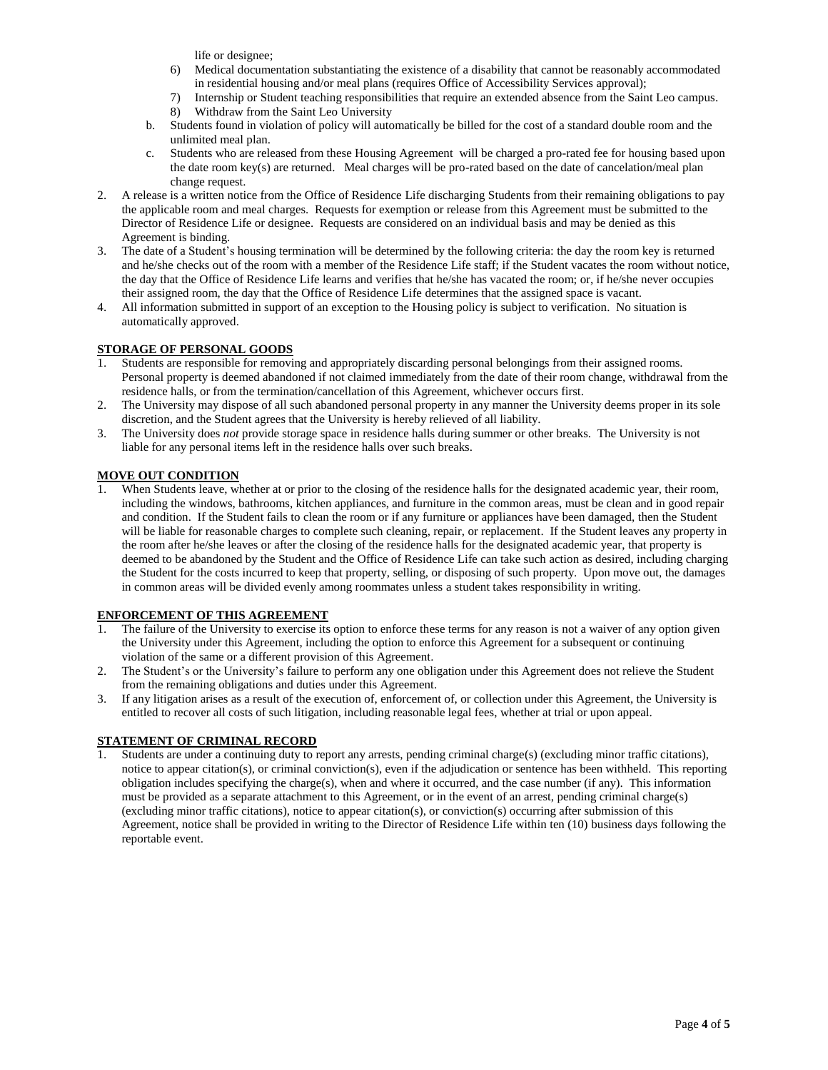life or designee;

- 6) Medical documentation substantiating the existence of a disability that cannot be reasonably accommodated in residential housing and/or meal plans (requires Office of Accessibility Services approval);
- 7) Internship or Student teaching responsibilities that require an extended absence from the Saint Leo campus.
- 8) Withdraw from the Saint Leo University
- b. Students found in violation of policy will automatically be billed for the cost of a standard double room and the unlimited meal plan.
- c. Students who are released from these Housing Agreement will be charged a pro-rated fee for housing based upon the date room key(s) are returned. Meal charges will be pro-rated based on the date of cancelation/meal plan change request.
- 2. A release is a written notice from the Office of Residence Life discharging Students from their remaining obligations to pay the applicable room and meal charges. Requests for exemption or release from this Agreement must be submitted to the Director of Residence Life or designee. Requests are considered on an individual basis and may be denied as this Agreement is binding.
- 3. The date of a Student's housing termination will be determined by the following criteria: the day the room key is returned and he/she checks out of the room with a member of the Residence Life staff; if the Student vacates the room without notice, the day that the Office of Residence Life learns and verifies that he/she has vacated the room; or, if he/she never occupies their assigned room, the day that the Office of Residence Life determines that the assigned space is vacant.
- 4. All information submitted in support of an exception to the Housing policy is subject to verification. No situation is automatically approved.

# **STORAGE OF PERSONAL GOODS**

- 1. Students are responsible for removing and appropriately discarding personal belongings from their assigned rooms. Personal property is deemed abandoned if not claimed immediately from the date of their room change, withdrawal from the residence halls, or from the termination/cancellation of this Agreement, whichever occurs first.
- 2. The University may dispose of all such abandoned personal property in any manner the University deems proper in its sole discretion, and the Student agrees that the University is hereby relieved of all liability.
- 3. The University does *not* provide storage space in residence halls during summer or other breaks. The University is not liable for any personal items left in the residence halls over such breaks.

# **MOVE OUT CONDITION**

1. When Students leave, whether at or prior to the closing of the residence halls for the designated academic year, their room, including the windows, bathrooms, kitchen appliances, and furniture in the common areas, must be clean and in good repair and condition. If the Student fails to clean the room or if any furniture or appliances have been damaged, then the Student will be liable for reasonable charges to complete such cleaning, repair, or replacement. If the Student leaves any property in the room after he/she leaves or after the closing of the residence halls for the designated academic year, that property is deemed to be abandoned by the Student and the Office of Residence Life can take such action as desired, including charging the Student for the costs incurred to keep that property, selling, or disposing of such property. Upon move out, the damages in common areas will be divided evenly among roommates unless a student takes responsibility in writing.

## **ENFORCEMENT OF THIS AGREEMENT**

- The failure of the University to exercise its option to enforce these terms for any reason is not a waiver of any option given the University under this Agreement, including the option to enforce this Agreement for a subsequent or continuing violation of the same or a different provision of this Agreement.
- 2. The Student's or the University's failure to perform any one obligation under this Agreement does not relieve the Student from the remaining obligations and duties under this Agreement.
- 3. If any litigation arises as a result of the execution of, enforcement of, or collection under this Agreement, the University is entitled to recover all costs of such litigation, including reasonable legal fees, whether at trial or upon appeal.

### **STATEMENT OF CRIMINAL RECORD**

1. Students are under a continuing duty to report any arrests, pending criminal charge(s) (excluding minor traffic citations), notice to appear citation(s), or criminal conviction(s), even if the adjudication or sentence has been withheld. This reporting obligation includes specifying the charge(s), when and where it occurred, and the case number (if any). This information must be provided as a separate attachment to this Agreement, or in the event of an arrest, pending criminal charge(s) (excluding minor traffic citations), notice to appear citation(s), or conviction(s) occurring after submission of this Agreement, notice shall be provided in writing to the Director of Residence Life within ten (10) business days following the reportable event.